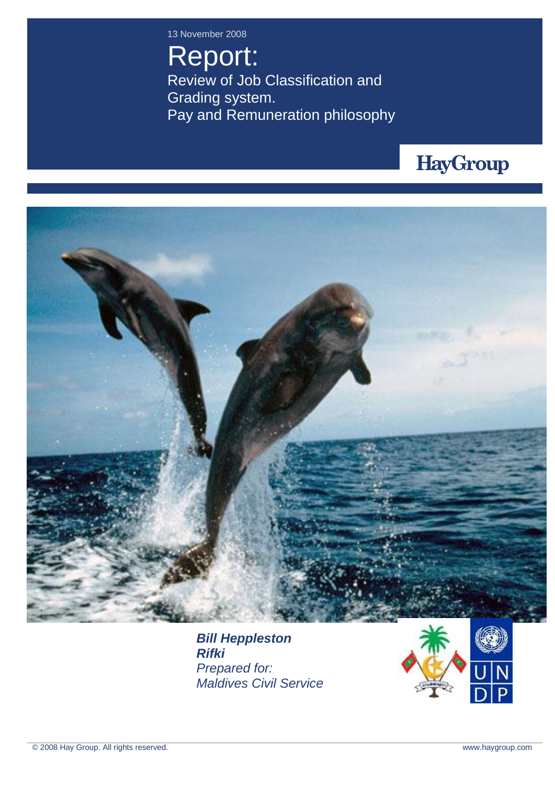13 November 2008

Report: Review of Job Classification and Grading system. Pay and Remuneration philosophy





*Bill Heppleston Rifki Prepared for: Maldives Civil Service*

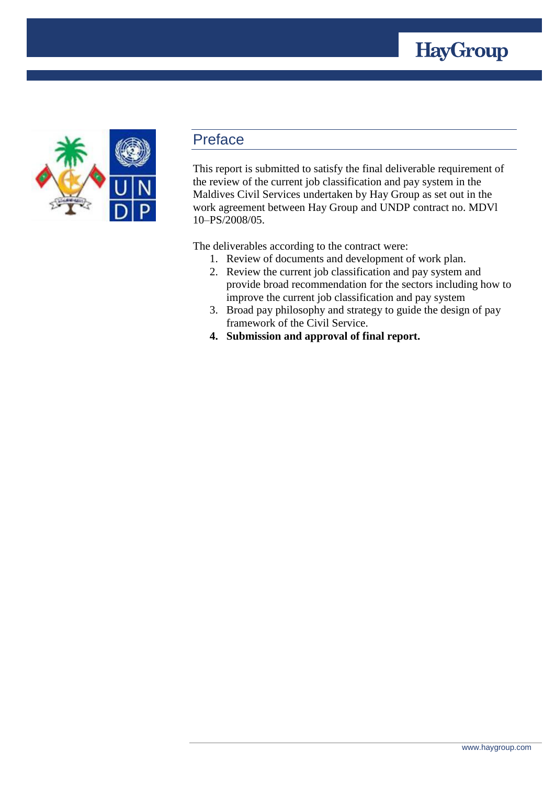



## Preface

This report is submitted to satisfy the final deliverable requirement of the review of the current job classification and pay system in the Maldives Civil Services undertaken by Hay Group as set out in the work agreement between Hay Group and UNDP contract no. MDVl 10–PS/2008/05.

The deliverables according to the contract were:

- 1. Review of documents and development of work plan.
- 2. Review the current job classification and pay system and provide broad recommendation for the sectors including how to improve the current job classification and pay system
- 3. Broad pay philosophy and strategy to guide the design of pay framework of the Civil Service.
- **4. Submission and approval of final report.**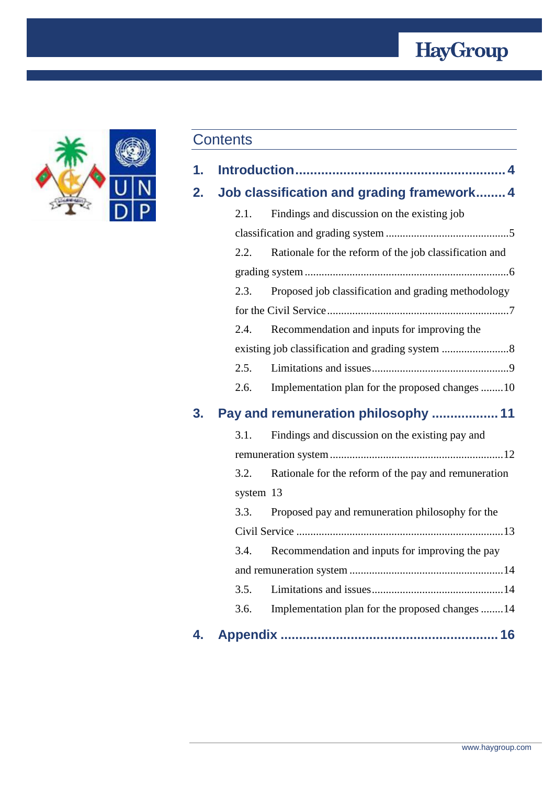## **HayGroup**



## **Contents**

| 1. |  |
|----|--|
|    |  |
|    |  |

**2. [Job classification and grading framework........](#page-3-1) 4**

|    | 2.1. | Findings and discussion on the existing job            |  |
|----|------|--------------------------------------------------------|--|
|    |      |                                                        |  |
|    | 2.2. | Rationale for the reform of the job classification and |  |
|    |      |                                                        |  |
|    | 2.3. | Proposed job classification and grading methodology    |  |
|    |      |                                                        |  |
|    | 2.4. | Recommendation and inputs for improving the            |  |
|    |      |                                                        |  |
|    |      |                                                        |  |
|    | 2.6. | Implementation plan for the proposed changes 10        |  |
| 3. |      | Pay and remuneration philosophy  11                    |  |
|    | 3.1. | Findings and discussion on the existing pay and        |  |
|    |      |                                                        |  |

|           | 3.2. Rationale for the reform of the pay and remuneration |
|-----------|-----------------------------------------------------------|
| system 13 |                                                           |

| 3.3. | Proposed pay and remuneration philosophy for the     |
|------|------------------------------------------------------|
|      |                                                      |
|      | 3.4. Recommendation and inputs for improving the pay |
|      |                                                      |
|      |                                                      |
| 3.6. | Implementation plan for the proposed changes 14      |

**4. Appendix [...........................................................](#page-15-0) 16**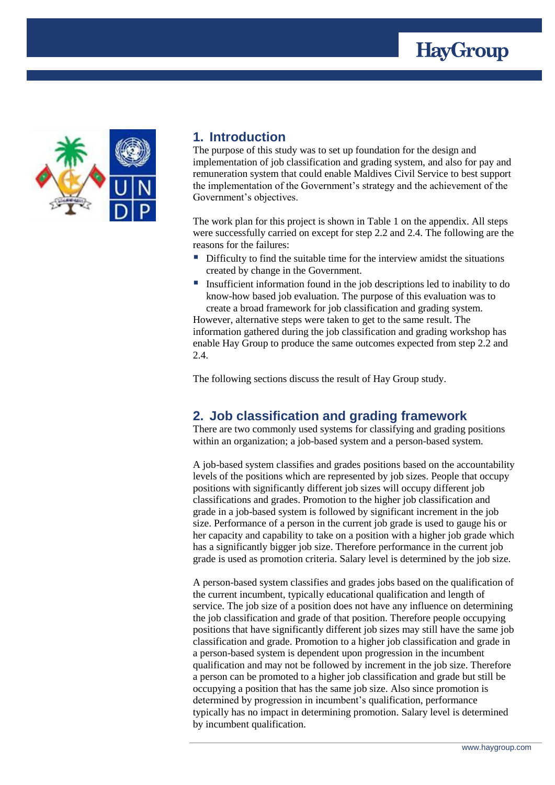



## <span id="page-3-0"></span>**1. Introduction**

The purpose of this study was to set up foundation for the design and implementation of job classification and grading system, and also for pay and remuneration system that could enable Maldives Civil Service to best support the implementation of the Government's strategy and the achievement of the Government's objectives.

The work plan for this project is shown in Table 1 on the appendix. All steps were successfully carried on except for step 2.2 and 2.4. The following are the reasons for the failures:

- Difficulty to find the suitable time for the interview amidst the situations created by change in the Government.
- Insufficient information found in the job descriptions led to inability to do know-how based job evaluation. The purpose of this evaluation was to create a broad framework for job classification and grading system.

However, alternative steps were taken to get to the same result. The information gathered during the job classification and grading workshop has enable Hay Group to produce the same outcomes expected from step 2.2 and 2.4.

The following sections discuss the result of Hay Group study.

## <span id="page-3-1"></span>**2. Job classification and grading framework**

There are two commonly used systems for classifying and grading positions within an organization; a job-based system and a person-based system.

A job-based system classifies and grades positions based on the accountability levels of the positions which are represented by job sizes. People that occupy positions with significantly different job sizes will occupy different job classifications and grades. Promotion to the higher job classification and grade in a job-based system is followed by significant increment in the job size. Performance of a person in the current job grade is used to gauge his or her capacity and capability to take on a position with a higher job grade which has a significantly bigger job size. Therefore performance in the current job grade is used as promotion criteria. Salary level is determined by the job size.

A person-based system classifies and grades jobs based on the qualification of the current incumbent, typically educational qualification and length of service. The job size of a position does not have any influence on determining the job classification and grade of that position. Therefore people occupying positions that have significantly different job sizes may still have the same job classification and grade. Promotion to a higher job classification and grade in a person-based system is dependent upon progression in the incumbent qualification and may not be followed by increment in the job size. Therefore a person can be promoted to a higher job classification and grade but still be occupying a position that has the same job size. Also since promotion is determined by progression in incumbent's qualification, performance typically has no impact in determining promotion. Salary level is determined by incumbent qualification.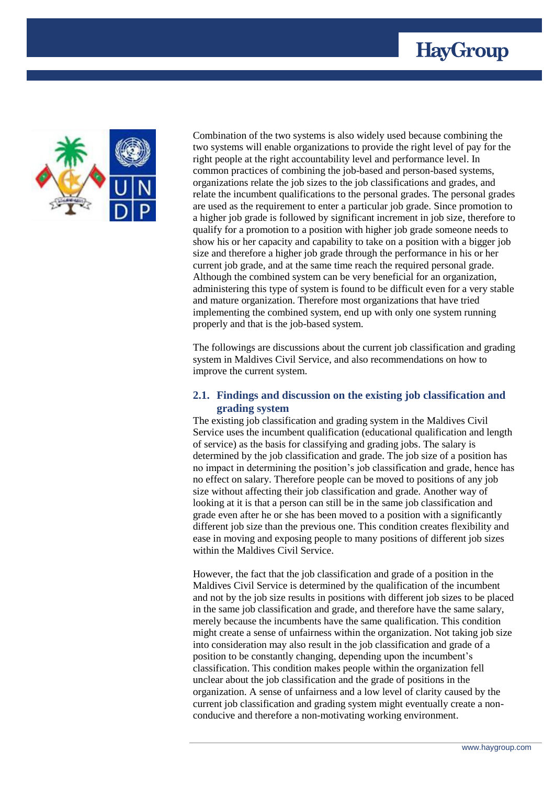



Combination of the two systems is also widely used because combining the two systems will enable organizations to provide the right level of pay for the right people at the right accountability level and performance level. In common practices of combining the job-based and person-based systems, organizations relate the job sizes to the job classifications and grades, and relate the incumbent qualifications to the personal grades. The personal grades are used as the requirement to enter a particular job grade. Since promotion to a higher job grade is followed by significant increment in job size, therefore to qualify for a promotion to a position with higher job grade someone needs to show his or her capacity and capability to take on a position with a bigger job size and therefore a higher job grade through the performance in his or her current job grade, and at the same time reach the required personal grade. Although the combined system can be very beneficial for an organization, administering this type of system is found to be difficult even for a very stable and mature organization. Therefore most organizations that have tried implementing the combined system, end up with only one system running properly and that is the job-based system.

The followings are discussions about the current job classification and grading system in Maldives Civil Service, and also recommendations on how to improve the current system.

#### <span id="page-4-0"></span>**2.1. Findings and discussion on the existing job classification and grading system**

The existing job classification and grading system in the Maldives Civil Service uses the incumbent qualification (educational qualification and length of service) as the basis for classifying and grading jobs. The salary is determined by the job classification and grade. The job size of a position has no impact in determining the position's job classification and grade, hence has no effect on salary. Therefore people can be moved to positions of any job size without affecting their job classification and grade. Another way of looking at it is that a person can still be in the same job classification and grade even after he or she has been moved to a position with a significantly different job size than the previous one. This condition creates flexibility and ease in moving and exposing people to many positions of different job sizes within the Maldives Civil Service.

However, the fact that the job classification and grade of a position in the Maldives Civil Service is determined by the qualification of the incumbent and not by the job size results in positions with different job sizes to be placed in the same job classification and grade, and therefore have the same salary, merely because the incumbents have the same qualification. This condition might create a sense of unfairness within the organization. Not taking job size into consideration may also result in the job classification and grade of a position to be constantly changing, depending upon the incumbent's classification. This condition makes people within the organization fell unclear about the job classification and the grade of positions in the organization. A sense of unfairness and a low level of clarity caused by the current job classification and grading system might eventually create a nonconducive and therefore a non-motivating working environment.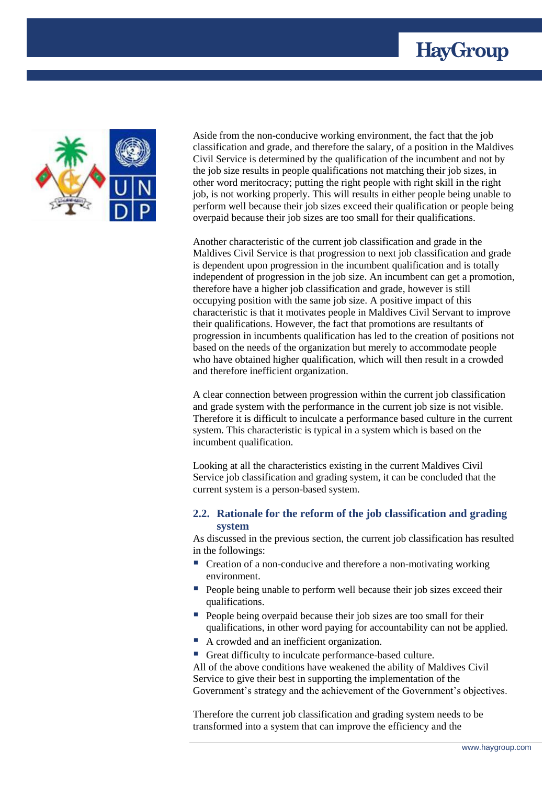



Aside from the non-conducive working environment, the fact that the job classification and grade, and therefore the salary, of a position in the Maldives Civil Service is determined by the qualification of the incumbent and not by the job size results in people qualifications not matching their job sizes, in other word meritocracy; putting the right people with right skill in the right job, is not working properly. This will results in either people being unable to perform well because their job sizes exceed their qualification or people being overpaid because their job sizes are too small for their qualifications.

Another characteristic of the current job classification and grade in the Maldives Civil Service is that progression to next job classification and grade is dependent upon progression in the incumbent qualification and is totally independent of progression in the job size. An incumbent can get a promotion, therefore have a higher job classification and grade, however is still occupying position with the same job size. A positive impact of this characteristic is that it motivates people in Maldives Civil Servant to improve their qualifications. However, the fact that promotions are resultants of progression in incumbents qualification has led to the creation of positions not based on the needs of the organization but merely to accommodate people who have obtained higher qualification, which will then result in a crowded and therefore inefficient organization.

A clear connection between progression within the current job classification and grade system with the performance in the current job size is not visible. Therefore it is difficult to inculcate a performance based culture in the current system. This characteristic is typical in a system which is based on the incumbent qualification.

Looking at all the characteristics existing in the current Maldives Civil Service job classification and grading system, it can be concluded that the current system is a person-based system.

#### <span id="page-5-0"></span>**2.2. Rationale for the reform of the job classification and grading system**

As discussed in the previous section, the current job classification has resulted in the followings:

- Creation of a non-conducive and therefore a non-motivating working environment.
- **People being unable to perform well because their job sizes exceed their** qualifications.
- People being overpaid because their job sizes are too small for their qualifications, in other word paying for accountability can not be applied.
- A crowded and an inefficient organization.
- Great difficulty to inculcate performance-based culture.

All of the above conditions have weakened the ability of Maldives Civil Service to give their best in supporting the implementation of the Government's strategy and the achievement of the Government's objectives.

Therefore the current job classification and grading system needs to be transformed into a system that can improve the efficiency and the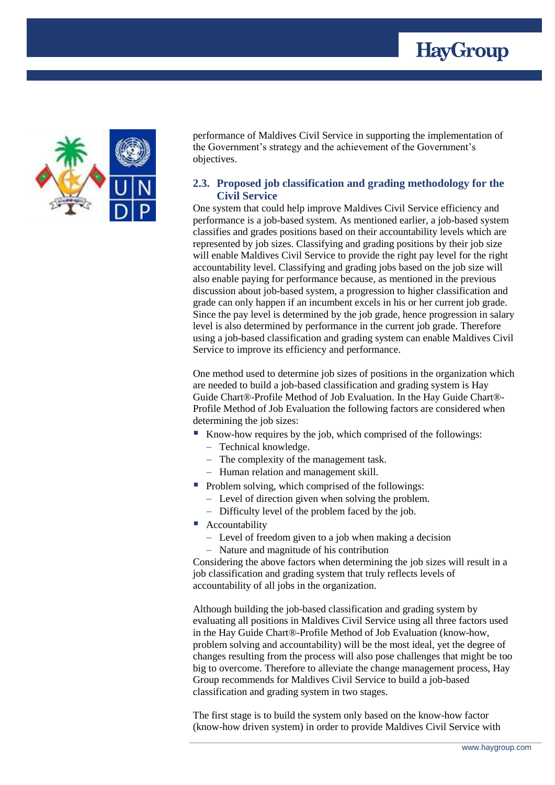



performance of Maldives Civil Service in supporting the implementation of the Government's strategy and the achievement of the Government's objectives.

#### <span id="page-6-0"></span>**2.3. Proposed job classification and grading methodology for the Civil Service**

One system that could help improve Maldives Civil Service efficiency and performance is a job-based system. As mentioned earlier, a job-based system classifies and grades positions based on their accountability levels which are represented by job sizes. Classifying and grading positions by their job size will enable Maldives Civil Service to provide the right pay level for the right accountability level. Classifying and grading jobs based on the job size will also enable paying for performance because, as mentioned in the previous discussion about job-based system, a progression to higher classification and grade can only happen if an incumbent excels in his or her current job grade. Since the pay level is determined by the job grade, hence progression in salary level is also determined by performance in the current job grade. Therefore using a job-based classification and grading system can enable Maldives Civil Service to improve its efficiency and performance.

One method used to determine job sizes of positions in the organization which are needed to build a job-based classification and grading system is Hay Guide Chart®-Profile Method of Job Evaluation. In the Hay Guide Chart®- Profile Method of Job Evaluation the following factors are considered when determining the job sizes:

- Know-how requires by the job, which comprised of the followings:
	- Technical knowledge.
	- The complexity of the management task.
	- Human relation and management skill.
- $\blacksquare$  Problem solving, which comprised of the followings:
	- Level of direction given when solving the problem.
	- Difficulty level of the problem faced by the job.
- Accountability
	- Level of freedom given to a job when making a decision
	- Nature and magnitude of his contribution

Considering the above factors when determining the job sizes will result in a job classification and grading system that truly reflects levels of accountability of all jobs in the organization.

Although building the job-based classification and grading system by evaluating all positions in Maldives Civil Service using all three factors used in the Hay Guide Chart®-Profile Method of Job Evaluation (know-how, problem solving and accountability) will be the most ideal, yet the degree of changes resulting from the process will also pose challenges that might be too big to overcome. Therefore to alleviate the change management process, Hay Group recommends for Maldives Civil Service to build a job-based classification and grading system in two stages.

The first stage is to build the system only based on the know-how factor (know-how driven system) in order to provide Maldives Civil Service with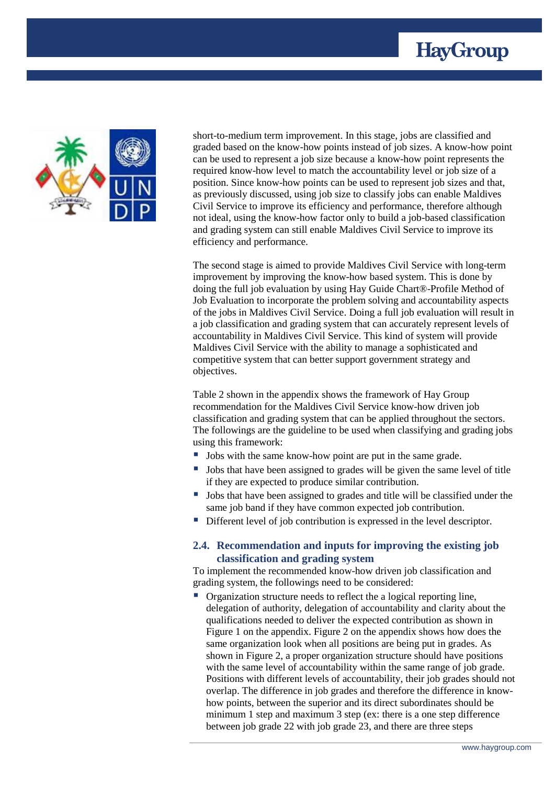



short-to-medium term improvement. In this stage, jobs are classified and graded based on the know-how points instead of job sizes. A know-how point can be used to represent a job size because a know-how point represents the required know-how level to match the accountability level or job size of a position. Since know-how points can be used to represent job sizes and that, as previously discussed, using job size to classify jobs can enable Maldives Civil Service to improve its efficiency and performance, therefore although not ideal, using the know-how factor only to build a job-based classification and grading system can still enable Maldives Civil Service to improve its efficiency and performance.

The second stage is aimed to provide Maldives Civil Service with long-term improvement by improving the know-how based system. This is done by doing the full job evaluation by using Hay Guide Chart®-Profile Method of Job Evaluation to incorporate the problem solving and accountability aspects of the jobs in Maldives Civil Service. Doing a full job evaluation will result in a job classification and grading system that can accurately represent levels of accountability in Maldives Civil Service. This kind of system will provide Maldives Civil Service with the ability to manage a sophisticated and competitive system that can better support government strategy and objectives.

Table 2 shown in the appendix shows the framework of Hay Group recommendation for the Maldives Civil Service know-how driven job classification and grading system that can be applied throughout the sectors. The followings are the guideline to be used when classifying and grading jobs using this framework:

- Jobs with the same know-how point are put in the same grade.
- Jobs that have been assigned to grades will be given the same level of title if they are expected to produce similar contribution.
- I Jobs that have been assigned to grades and title will be classified under the same job band if they have common expected job contribution.
- Different level of job contribution is expressed in the level descriptor.

#### <span id="page-7-0"></span>**2.4. Recommendation and inputs for improving the existing job classification and grading system**

To implement the recommended know-how driven job classification and grading system, the followings need to be considered:

 Organization structure needs to reflect the a logical reporting line, delegation of authority, delegation of accountability and clarity about the qualifications needed to deliver the expected contribution as shown in Figure 1 on the appendix. Figure 2 on the appendix shows how does the same organization look when all positions are being put in grades. As shown in Figure 2, a proper organization structure should have positions with the same level of accountability within the same range of job grade. Positions with different levels of accountability, their job grades should not overlap. The difference in job grades and therefore the difference in knowhow points, between the superior and its direct subordinates should be minimum 1 step and maximum 3 step (ex: there is a one step difference between job grade 22 with job grade 23, and there are three steps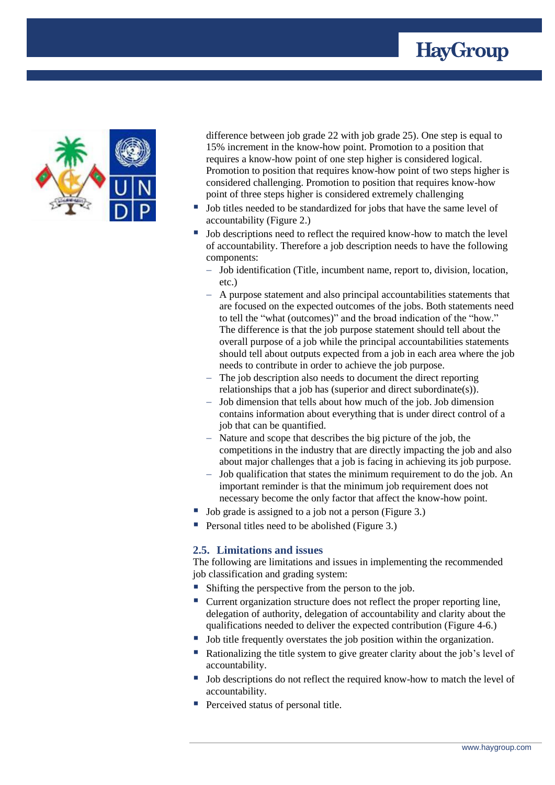



difference between job grade 22 with job grade 25). One step is equal to 15% increment in the know-how point. Promotion to a position that requires a know-how point of one step higher is considered logical. Promotion to position that requires know-how point of two steps higher is considered challenging. Promotion to position that requires know-how point of three steps higher is considered extremely challenging

- Job titles needed to be standardized for jobs that have the same level of accountability (Figure 2.)
- Job descriptions need to reflect the required know-how to match the level of accountability. Therefore a job description needs to have the following components:
	- Job identification (Title, incumbent name, report to, division, location, etc.)
	- A purpose statement and also principal accountabilities statements that are focused on the expected outcomes of the jobs. Both statements need to tell the "what (outcomes)" and the broad indication of the "how." The difference is that the job purpose statement should tell about the overall purpose of a job while the principal accountabilities statements should tell about outputs expected from a job in each area where the job needs to contribute in order to achieve the job purpose.
	- The job description also needs to document the direct reporting relationships that a job has (superior and direct subordinate(s)).
	- Job dimension that tells about how much of the job. Job dimension contains information about everything that is under direct control of a job that can be quantified.
	- Nature and scope that describes the big picture of the job, the competitions in the industry that are directly impacting the job and also about major challenges that a job is facing in achieving its job purpose.
	- Job qualification that states the minimum requirement to do the job. An important reminder is that the minimum job requirement does not necessary become the only factor that affect the know-how point.
- Job grade is assigned to a job not a person (Figure 3.)
- Personal titles need to be abolished (Figure 3.)

#### <span id="page-8-0"></span>**2.5. Limitations and issues**

The following are limitations and issues in implementing the recommended job classification and grading system:

- Shifting the perspective from the person to the job.
- Current organization structure does not reflect the proper reporting line, delegation of authority, delegation of accountability and clarity about the qualifications needed to deliver the expected contribution (Figure 4-6.)
- If Job title frequently overstates the job position within the organization.
- Rationalizing the title system to give greater clarity about the job's level of accountability.
- Job descriptions do not reflect the required know-how to match the level of accountability.
- **Perceived status of personal title.**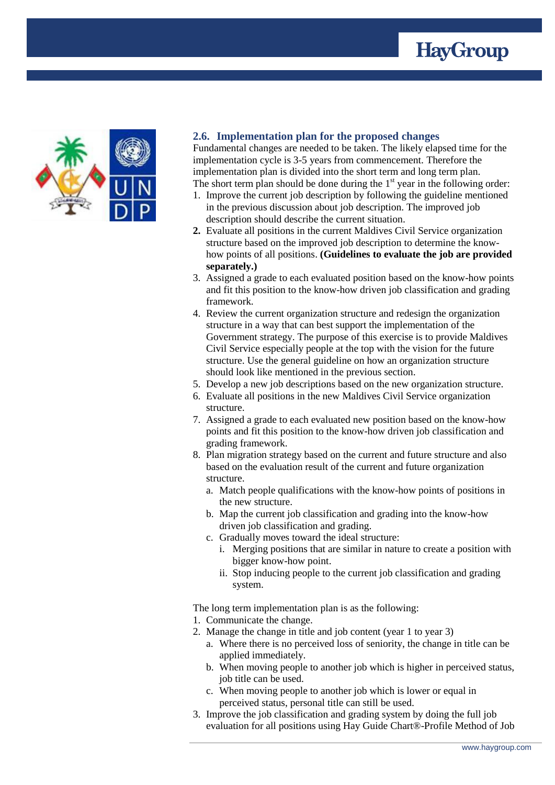



#### <span id="page-9-0"></span>**2.6. Implementation plan for the proposed changes**

Fundamental changes are needed to be taken. The likely elapsed time for the implementation cycle is 3-5 years from commencement. Therefore the implementation plan is divided into the short term and long term plan. The short term plan should be done during the  $1<sup>st</sup>$  year in the following order:

- 1. Improve the current job description by following the guideline mentioned in the previous discussion about job description. The improved job description should describe the current situation.
- **2.** Evaluate all positions in the current Maldives Civil Service organization structure based on the improved job description to determine the knowhow points of all positions. **(Guidelines to evaluate the job are provided separately.)**
- 3. Assigned a grade to each evaluated position based on the know-how points and fit this position to the know-how driven job classification and grading framework.
- 4. Review the current organization structure and redesign the organization structure in a way that can best support the implementation of the Government strategy. The purpose of this exercise is to provide Maldives Civil Service especially people at the top with the vision for the future structure. Use the general guideline on how an organization structure should look like mentioned in the previous section.
- 5. Develop a new job descriptions based on the new organization structure.
- 6. Evaluate all positions in the new Maldives Civil Service organization structure.
- 7. Assigned a grade to each evaluated new position based on the know-how points and fit this position to the know-how driven job classification and grading framework.
- 8. Plan migration strategy based on the current and future structure and also based on the evaluation result of the current and future organization structure.
	- a. Match people qualifications with the know-how points of positions in the new structure.
	- b. Map the current job classification and grading into the know-how driven job classification and grading.
	- c. Gradually moves toward the ideal structure:
		- i. Merging positions that are similar in nature to create a position with bigger know-how point.
		- ii. Stop inducing people to the current job classification and grading system.

The long term implementation plan is as the following:

- 1. Communicate the change.
- 2. Manage the change in title and job content (year 1 to year 3)
	- a. Where there is no perceived loss of seniority, the change in title can be applied immediately.
	- b. When moving people to another job which is higher in perceived status, job title can be used.
	- c. When moving people to another job which is lower or equal in perceived status, personal title can still be used.
- 3. Improve the job classification and grading system by doing the full job evaluation for all positions using Hay Guide Chart®-Profile Method of Job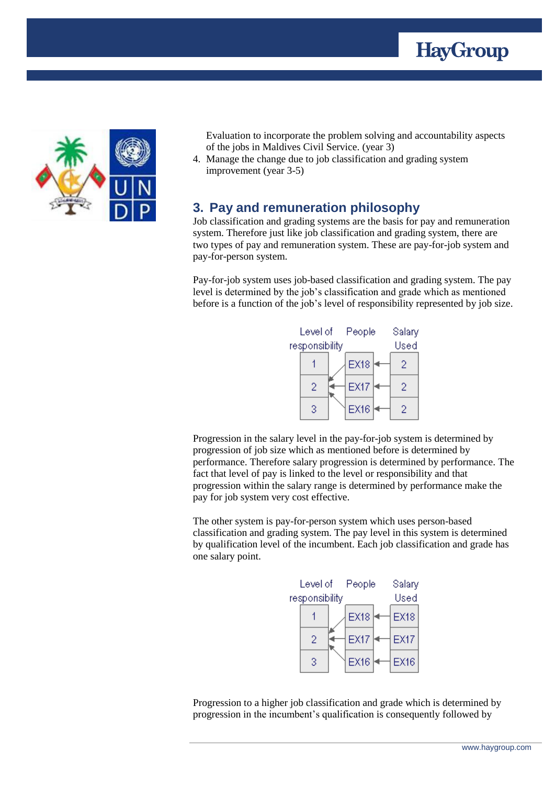



Evaluation to incorporate the problem solving and accountability aspects of the jobs in Maldives Civil Service. (year 3)

4. Manage the change due to job classification and grading system improvement (year 3-5)

### <span id="page-10-0"></span>**3. Pay and remuneration philosophy**

Job classification and grading systems are the basis for pay and remuneration system. Therefore just like job classification and grading system, there are two types of pay and remuneration system. These are pay-for-job system and pay-for-person system.

Pay-for-job system uses job-based classification and grading system. The pay level is determined by the job's classification and grade which as mentioned before is a function of the job's level of responsibility represented by job size.



Progression in the salary level in the pay-for-job system is determined by progression of job size which as mentioned before is determined by performance. Therefore salary progression is determined by performance. The fact that level of pay is linked to the level or responsibility and that progression within the salary range is determined by performance make the pay for job system very cost effective.

The other system is pay-for-person system which uses person-based classification and grading system. The pay level in this system is determined by qualification level of the incumbent. Each job classification and grade has one salary point.



Progression to a higher job classification and grade which is determined by progression in the incumbent's qualification is consequently followed by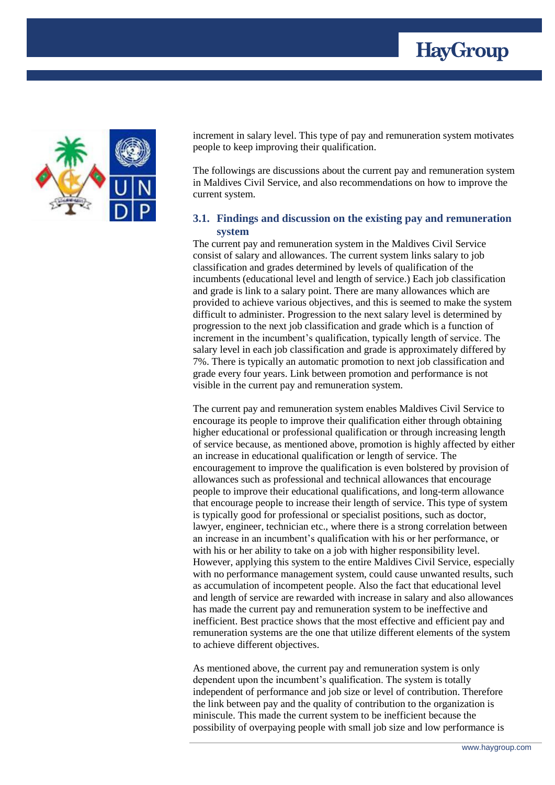



increment in salary level. This type of pay and remuneration system motivates people to keep improving their qualification.

The followings are discussions about the current pay and remuneration system in Maldives Civil Service, and also recommendations on how to improve the current system.

#### <span id="page-11-0"></span>**3.1. Findings and discussion on the existing pay and remuneration system**

The current pay and remuneration system in the Maldives Civil Service consist of salary and allowances. The current system links salary to job classification and grades determined by levels of qualification of the incumbents (educational level and length of service.) Each job classification and grade is link to a salary point. There are many allowances which are provided to achieve various objectives, and this is seemed to make the system difficult to administer. Progression to the next salary level is determined by progression to the next job classification and grade which is a function of increment in the incumbent's qualification, typically length of service. The salary level in each job classification and grade is approximately differed by 7%. There is typically an automatic promotion to next job classification and grade every four years. Link between promotion and performance is not visible in the current pay and remuneration system.

The current pay and remuneration system enables Maldives Civil Service to encourage its people to improve their qualification either through obtaining higher educational or professional qualification or through increasing length of service because, as mentioned above, promotion is highly affected by either an increase in educational qualification or length of service. The encouragement to improve the qualification is even bolstered by provision of allowances such as professional and technical allowances that encourage people to improve their educational qualifications, and long-term allowance that encourage people to increase their length of service. This type of system is typically good for professional or specialist positions, such as doctor, lawyer, engineer, technician etc., where there is a strong correlation between an increase in an incumbent's qualification with his or her performance, or with his or her ability to take on a job with higher responsibility level. However, applying this system to the entire Maldives Civil Service, especially with no performance management system, could cause unwanted results, such as accumulation of incompetent people. Also the fact that educational level and length of service are rewarded with increase in salary and also allowances has made the current pay and remuneration system to be ineffective and inefficient. Best practice shows that the most effective and efficient pay and remuneration systems are the one that utilize different elements of the system to achieve different objectives.

As mentioned above, the current pay and remuneration system is only dependent upon the incumbent's qualification. The system is totally independent of performance and job size or level of contribution. Therefore the link between pay and the quality of contribution to the organization is miniscule. This made the current system to be inefficient because the possibility of overpaying people with small job size and low performance is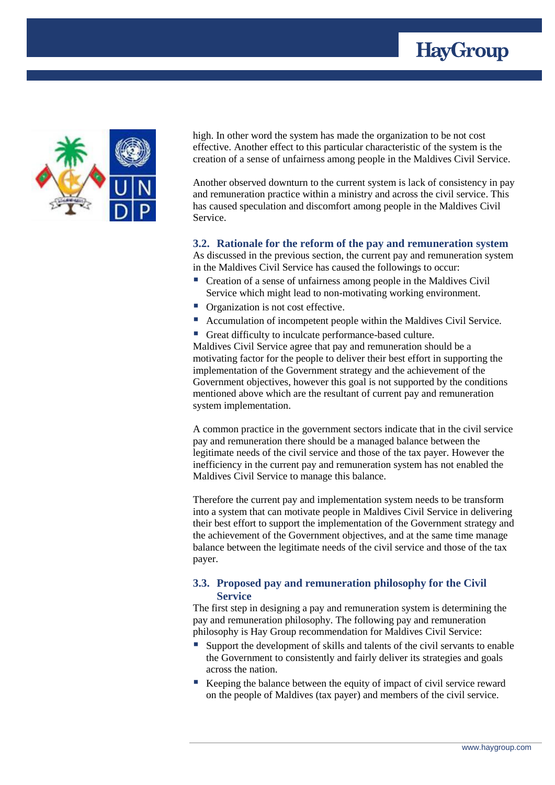



high. In other word the system has made the organization to be not cost effective. Another effect to this particular characteristic of the system is the creation of a sense of unfairness among people in the Maldives Civil Service.

Another observed downturn to the current system is lack of consistency in pay and remuneration practice within a ministry and across the civil service. This has caused speculation and discomfort among people in the Maldives Civil Service.

#### <span id="page-12-0"></span>**3.2. Rationale for the reform of the pay and remuneration system**

As discussed in the previous section, the current pay and remuneration system in the Maldives Civil Service has caused the followings to occur:

- Creation of a sense of unfairness among people in the Maldives Civil Service which might lead to non-motivating working environment.
- **•** Organization is not cost effective.
- Accumulation of incompetent people within the Maldives Civil Service.
- Great difficulty to inculcate performance-based culture.

Maldives Civil Service agree that pay and remuneration should be a motivating factor for the people to deliver their best effort in supporting the implementation of the Government strategy and the achievement of the Government objectives, however this goal is not supported by the conditions mentioned above which are the resultant of current pay and remuneration system implementation.

A common practice in the government sectors indicate that in the civil service pay and remuneration there should be a managed balance between the legitimate needs of the civil service and those of the tax payer. However the inefficiency in the current pay and remuneration system has not enabled the Maldives Civil Service to manage this balance.

Therefore the current pay and implementation system needs to be transform into a system that can motivate people in Maldives Civil Service in delivering their best effort to support the implementation of the Government strategy and the achievement of the Government objectives, and at the same time manage balance between the legitimate needs of the civil service and those of the tax payer.

#### <span id="page-12-1"></span>**3.3. Proposed pay and remuneration philosophy for the Civil Service**

The first step in designing a pay and remuneration system is determining the pay and remuneration philosophy. The following pay and remuneration philosophy is Hay Group recommendation for Maldives Civil Service:

- Support the development of skills and talents of the civil servants to enable the Government to consistently and fairly deliver its strategies and goals across the nation.
- Keeping the balance between the equity of impact of civil service reward on the people of Maldives (tax payer) and members of the civil service.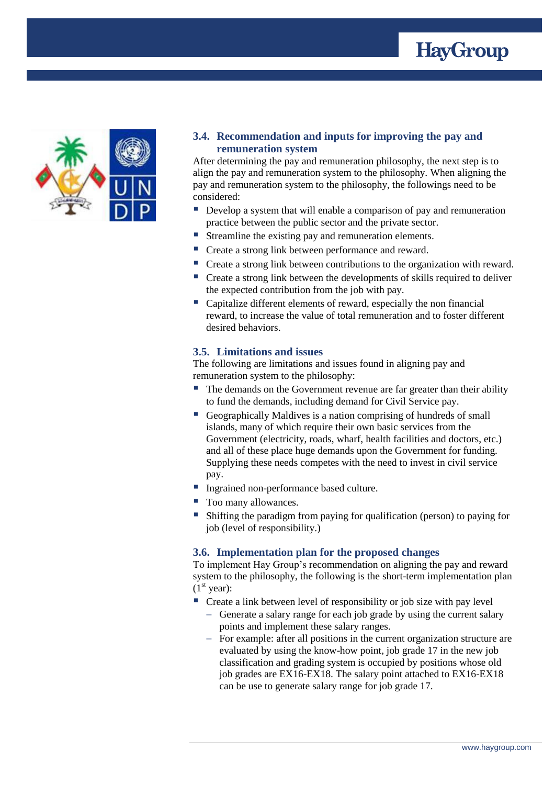



#### <span id="page-13-0"></span>**3.4. Recommendation and inputs for improving the pay and remuneration system**

After determining the pay and remuneration philosophy, the next step is to align the pay and remuneration system to the philosophy. When aligning the pay and remuneration system to the philosophy, the followings need to be considered:

- Develop a system that will enable a comparison of pay and remuneration practice between the public sector and the private sector.
- Streamline the existing pay and remuneration elements.
- Create a strong link between performance and reward.
- Create a strong link between contributions to the organization with reward.
- Create a strong link between the developments of skills required to deliver the expected contribution from the job with pay.
- Capitalize different elements of reward, especially the non financial reward, to increase the value of total remuneration and to foster different desired behaviors.

#### <span id="page-13-1"></span>**3.5. Limitations and issues**

The following are limitations and issues found in aligning pay and remuneration system to the philosophy:

- The demands on the Government revenue are far greater than their ability to fund the demands, including demand for Civil Service pay.
- Geographically Maldives is a nation comprising of hundreds of small islands, many of which require their own basic services from the Government (electricity, roads, wharf, health facilities and doctors, etc.) and all of these place huge demands upon the Government for funding. Supplying these needs competes with the need to invest in civil service pay.
- Ingrained non-performance based culture.
- Too many allowances.
- Shifting the paradigm from paying for qualification (person) to paying for job (level of responsibility.)

#### <span id="page-13-2"></span>**3.6. Implementation plan for the proposed changes**

To implement Hay Group's recommendation on aligning the pay and reward system to the philosophy, the following is the short-term implementation plan  $(1<sup>st</sup> year):$ 

- Create a link between level of responsibility or job size with pay level
	- Generate a salary range for each job grade by using the current salary points and implement these salary ranges.
	- For example: after all positions in the current organization structure are evaluated by using the know-how point, job grade 17 in the new job classification and grading system is occupied by positions whose old job grades are EX16-EX18. The salary point attached to EX16-EX18 can be use to generate salary range for job grade 17.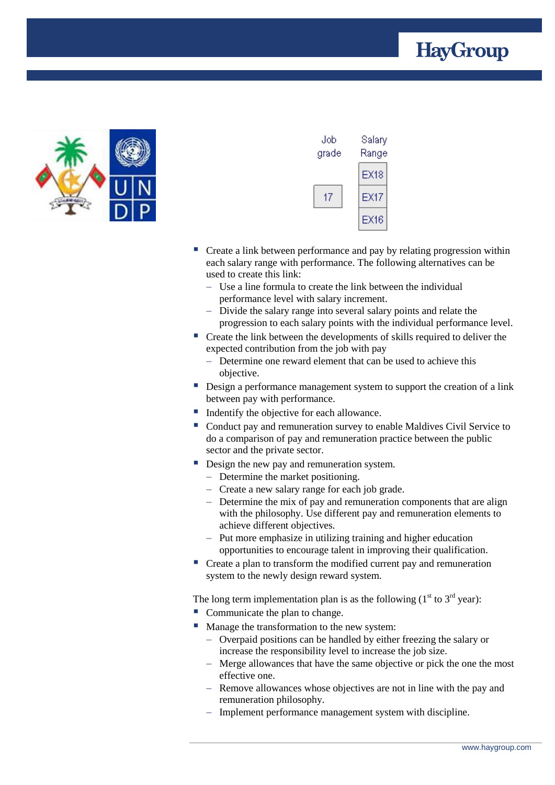



| Job<br>grade | Salary<br>Range |
|--------------|-----------------|
|              | EX18            |
| 17           | EX17            |
|              | EX16            |

- Create a link between performance and pay by relating progression within each salary range with performance. The following alternatives can be used to create this link:
	- Use a line formula to create the link between the individual performance level with salary increment.
	- Divide the salary range into several salary points and relate the progression to each salary points with the individual performance level.
- Create the link between the developments of skills required to deliver the expected contribution from the job with pay
	- Determine one reward element that can be used to achieve this objective.
- Design a performance management system to support the creation of a link between pay with performance.
- Indentify the objective for each allowance.
- Conduct pay and remuneration survey to enable Maldives Civil Service to do a comparison of pay and remuneration practice between the public sector and the private sector.
- Design the new pay and remuneration system.
	- Determine the market positioning.
	- Create a new salary range for each job grade.
	- Determine the mix of pay and remuneration components that are align with the philosophy. Use different pay and remuneration elements to achieve different objectives.
	- Put more emphasize in utilizing training and higher education opportunities to encourage talent in improving their qualification.
- Create a plan to transform the modified current pay and remuneration system to the newly design reward system.

The long term implementation plan is as the following  $(1<sup>st</sup> to 3<sup>rd</sup> year):$ 

- Communicate the plan to change.
- **Manage the transformation to the new system:** 
	- Overpaid positions can be handled by either freezing the salary or increase the responsibility level to increase the job size.
	- Merge allowances that have the same objective or pick the one the most effective one.
	- Remove allowances whose objectives are not in line with the pay and remuneration philosophy.
	- Implement performance management system with discipline.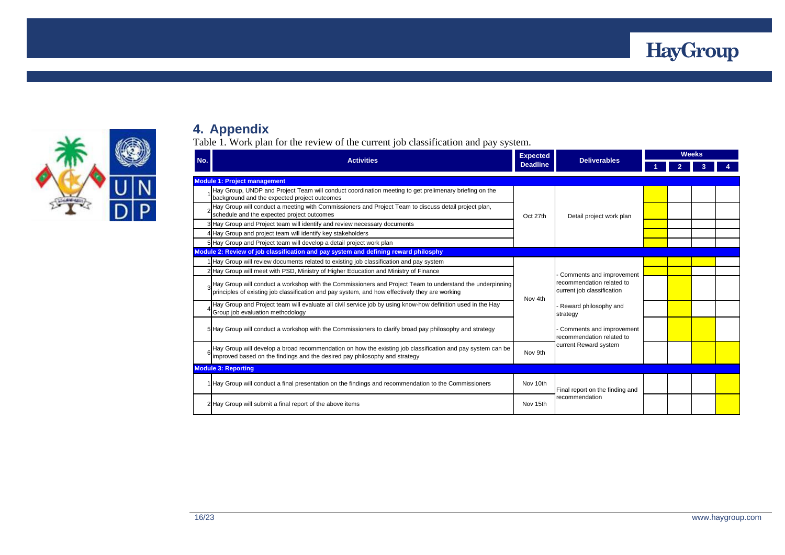



## **4. Appendix**

Table 1. Work plan for the review of the current job classification and pay system.

<span id="page-15-0"></span>

| No. | <b>Activities</b>                                                                                                                                                                                          | <b>Expected</b>                      | <b>Deliverables</b>                                     | <b>Weeks</b> |  |  |  |  |
|-----|------------------------------------------------------------------------------------------------------------------------------------------------------------------------------------------------------------|--------------------------------------|---------------------------------------------------------|--------------|--|--|--|--|
|     |                                                                                                                                                                                                            | <b>Deadline</b>                      |                                                         |              |  |  |  |  |
|     | <b>Module 1: Project management</b>                                                                                                                                                                        |                                      |                                                         |              |  |  |  |  |
|     | Hay Group, UNDP and Project Team will conduct coordination meeting to get prelimenary briefing on the<br>background and the expected project outcomes                                                      |                                      |                                                         |              |  |  |  |  |
|     | Hay Group will conduct a meeting with Commissioners and Project Team to discuss detail project plan,<br>schedule and the expected project outcomes                                                         | Oct 27th<br>Detail project work plan |                                                         |              |  |  |  |  |
|     | 3 Hay Group and Project team will identify and review necessary documents                                                                                                                                  |                                      |                                                         |              |  |  |  |  |
|     | 4 Hay Group and project team will identify key stakeholders                                                                                                                                                |                                      |                                                         |              |  |  |  |  |
|     | 5 Hay Group and Project team will develop a detail project work plan                                                                                                                                       |                                      |                                                         |              |  |  |  |  |
|     | Module 2: Review of job classification and pay system and defining reward philosphy                                                                                                                        |                                      |                                                         |              |  |  |  |  |
|     | 1 Hay Group will review documents related to existing job classification and pay system                                                                                                                    |                                      |                                                         |              |  |  |  |  |
|     | 2 Hay Group will meet with PSD, Ministry of Higher Education and Ministry of Finance<br>Comments and improvement                                                                                           |                                      |                                                         |              |  |  |  |  |
|     | Hay Group will conduct a workshop with the Commissioners and Project Team to understand the underpinning<br>principles of existing job classification and pay system, and how effectively they are working | Nov 4th                              | recommendation related to<br>current job classification |              |  |  |  |  |
|     | Hay Group and Project team will evaluate all civil service job by using know-how definition used in the Hay<br>Group job evaluation methodology                                                            |                                      | Reward philosophy and<br>strategy                       |              |  |  |  |  |
|     | 5 Hay Group will conduct a workshop with the Commissioners to clarify broad pay philosophy and strategy                                                                                                    |                                      | Comments and improvement<br>recommendation related to   |              |  |  |  |  |
|     | Hay Group will develop a broad recommendation on how the existing job classification and pay system can be<br>improved based on the findings and the desired pay philosophy and strategy                   | Nov 9th                              | current Reward system                                   |              |  |  |  |  |
|     | <b>Module 3: Reporting</b>                                                                                                                                                                                 |                                      |                                                         |              |  |  |  |  |
|     | 1 Hay Group will conduct a final presentation on the findings and recommendation to the Commissioners                                                                                                      | Nov 10th                             | Final report on the finding and                         |              |  |  |  |  |
|     | 2 Hay Group will submit a final report of the above items                                                                                                                                                  | Nov 15th                             | recommendation                                          |              |  |  |  |  |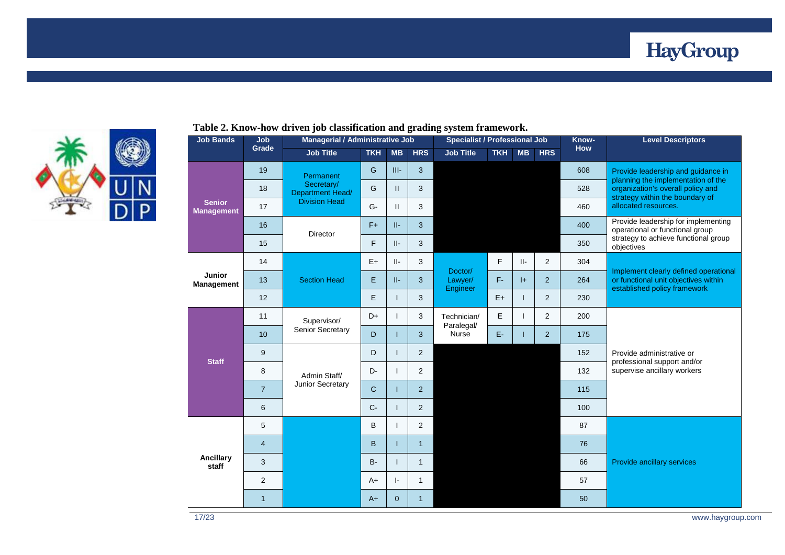



| <b>Job Bands</b>                   | Job            | Managerial / Administrative Job                                     |              |                | <b>Specialist / Professional Job</b> |                                |                             |           | Know-          | <b>Level Descriptors</b>                           |                                                                          |
|------------------------------------|----------------|---------------------------------------------------------------------|--------------|----------------|--------------------------------------|--------------------------------|-----------------------------|-----------|----------------|----------------------------------------------------|--------------------------------------------------------------------------|
|                                    | Grade          | <b>Job Title</b>                                                    | <b>TKH</b>   | <b>MB</b>      | <b>HRS</b>                           | <b>Job Title</b>               | <b>TKH</b>                  | <b>MB</b> | <b>HRS</b>     | <b>How</b>                                         |                                                                          |
|                                    | 19             | Permanent<br>Secretary/<br>Department Head/<br><b>Division Head</b> | G            | $III-$         | 3                                    |                                |                             |           |                | 608                                                | Provide leadership and guidance in<br>planning the implementation of the |
|                                    | 18             |                                                                     | G            | $\mathbf{H}$   | 3                                    |                                |                             |           |                | 528                                                | organization's overall policy and<br>strategy within the boundary of     |
| <b>Senior</b><br><b>Management</b> | 17             |                                                                     | G-           | $\mathbf{H}$   | 3                                    |                                |                             |           |                | 460                                                | allocated resources.                                                     |
|                                    | 16             | Director                                                            | $F+$         | II-            | 3                                    |                                |                             |           |                | 400                                                | Provide leadership for implementing<br>operational or functional group   |
|                                    | 15             |                                                                     | F.           | $   -$         | 3                                    |                                |                             |           | 350            | strategy to achieve functional group<br>objectives |                                                                          |
|                                    | 14             |                                                                     | $E+$         | II-            | 3                                    |                                | F.                          | II-       | $\overline{2}$ | 304                                                | Implement clearly defined operational                                    |
| Junior<br>Management               | 13             | <b>Section Head</b>                                                 | E            | $II-$          | 3                                    | Doctor/<br>Lawyer/<br>Engineer | F-                          | $ + $     | $\overline{2}$ | 264                                                | or functional unit objectives within<br>established policy framework     |
|                                    | 12             |                                                                     | E            | т              | 3                                    |                                | $E+$                        |           | $\overline{2}$ | 230                                                |                                                                          |
|                                    | 11             | Supervisor/                                                         | D+           | ı              | 3                                    | Technician/<br>Paralegal/      | Е                           |           | $\overline{2}$ | 200                                                |                                                                          |
|                                    | 10             | Senior Secretary                                                    | D            | T              | 3                                    | Nurse                          | E-                          |           | $\overline{2}$ | 175                                                |                                                                          |
| <b>Staff</b>                       | 9              |                                                                     | D            | T              | $\overline{2}$                       | 152<br>132                     |                             |           |                |                                                    | Provide administrative or<br>professional support and/or                 |
|                                    | 8              | Admin Staff/                                                        | D-           | T              | $\overline{2}$                       |                                | supervise ancillary workers |           |                |                                                    |                                                                          |
|                                    | $\overline{7}$ | Junior Secretary                                                    | $\mathsf{C}$ | $\mathbf{I}$   | $\overline{2}$                       |                                |                             |           |                | 115                                                |                                                                          |
|                                    | 6              |                                                                     | $C -$        | T              | $\overline{2}$                       |                                |                             |           |                | 100                                                |                                                                          |
|                                    | 5              |                                                                     | B            | L              | $\overline{2}$                       |                                |                             |           |                | 87                                                 |                                                                          |
|                                    | $\overline{4}$ |                                                                     | B            | T              | $\mathbf{1}$                         |                                |                             |           |                | 76                                                 |                                                                          |
| Ancillary<br>staff                 | 3              |                                                                     | <b>B-</b>    | T              | $\mathbf{1}$                         |                                |                             |           |                | 66                                                 | Provide ancillary services                                               |
|                                    | 2              |                                                                     | $A+$         | $\vert$ -      | $\mathbf{1}$                         |                                |                             |           |                | 57                                                 |                                                                          |
|                                    | $\mathbf{1}$   |                                                                     | $A+$         | $\overline{0}$ | $\mathbf{1}$                         |                                |                             |           |                | 50                                                 |                                                                          |

#### **Table 2. Know-how driven job classification and grading system framework.**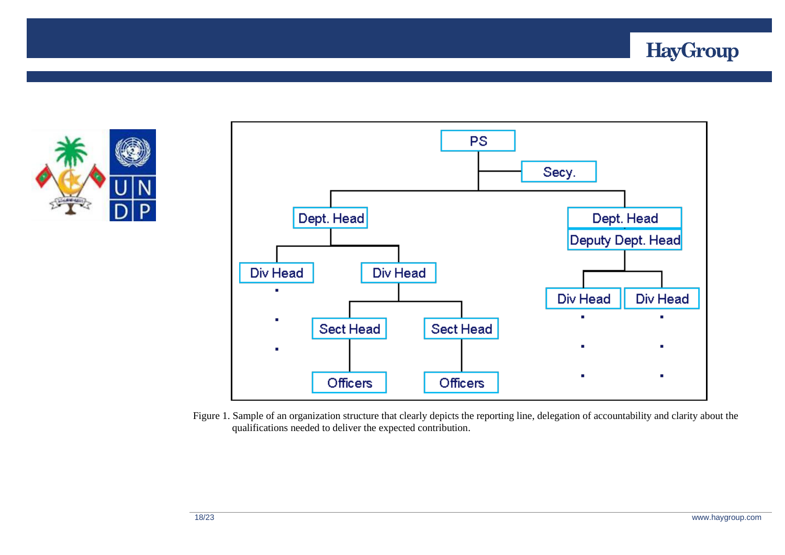





Figure 1. Sample of an organization structure that clearly depicts the reporting line, delegation of accountability and clarity about the qualifications needed to deliver the expected contribution.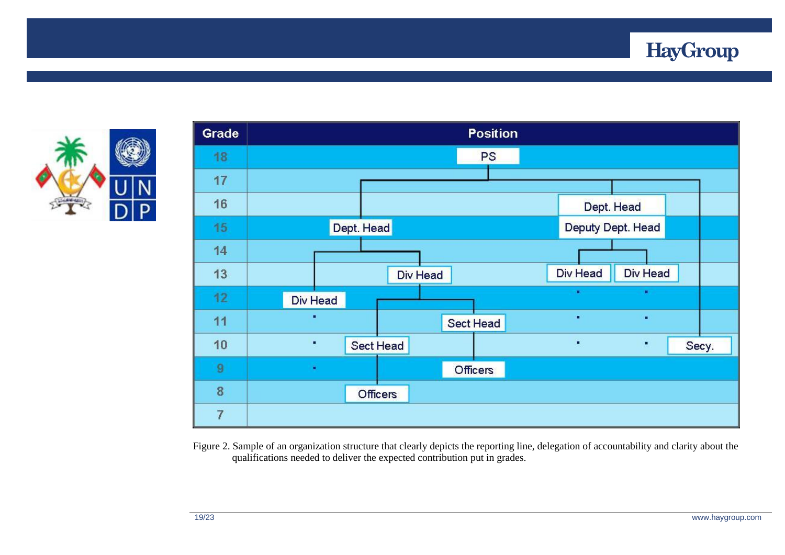





Figure 2. Sample of an organization structure that clearly depicts the reporting line, delegation of accountability and clarity about the qualifications needed to deliver the expected contribution put in grades.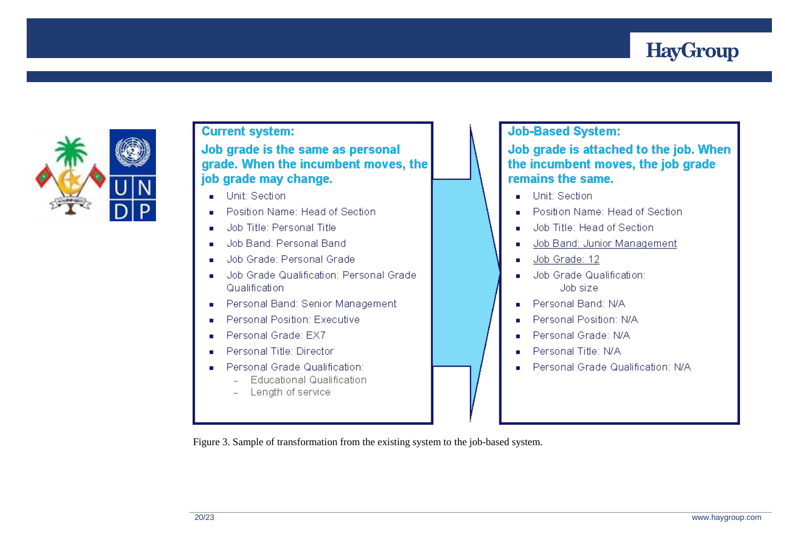# **HayGroup**



### **Current system:**

Job grade is the same as personal grade. When the incumbent moves, the job grade may change.

- Unit: Section  $\mathbf{r}$
- Position Name: Head of Section ×.
- Job Title: Personal Title  $\mathbf{r}$
- Job Band: Personal Band ×.
- Job Grade: Personal Grade
- Job Grade Qualification: Personal Grade Qualification
- Personal Band: Senior Management ٠
- Personal Position: Executive
- Personal Grade: EX7
- Personal Title: Director
- Personal Grade Qualification:
	- **Educational Qualification**  $\mathbf{r}$
	- Length of service

## **Job-Based System:**

Job grade is attached to the job. When the incumbent moves, the job grade remains the same.

- Unit: Section
- Position Name: Head of Section **COLOR**
- Job Title: Head of Section m.
- Job Band: Junior Management å.
- Job Grade: 12  $\blacksquare$
- Job Grade Qualification: Joh size.
- Personal Band: N/A ٠
- Personal Position: N/A
- Personal Grade: N/A
- Personal Title: N/A
- Personal Grade Qualification: N/A

Figure 3. Sample of transformation from the existing system to the job-based system.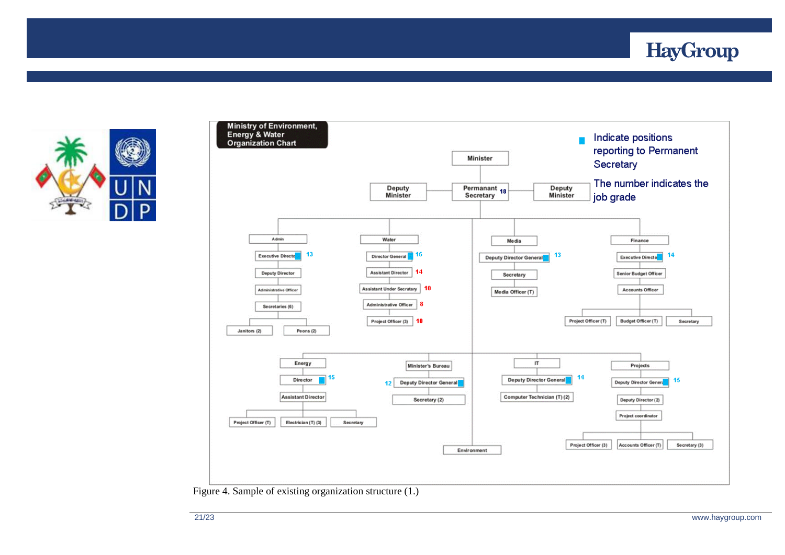



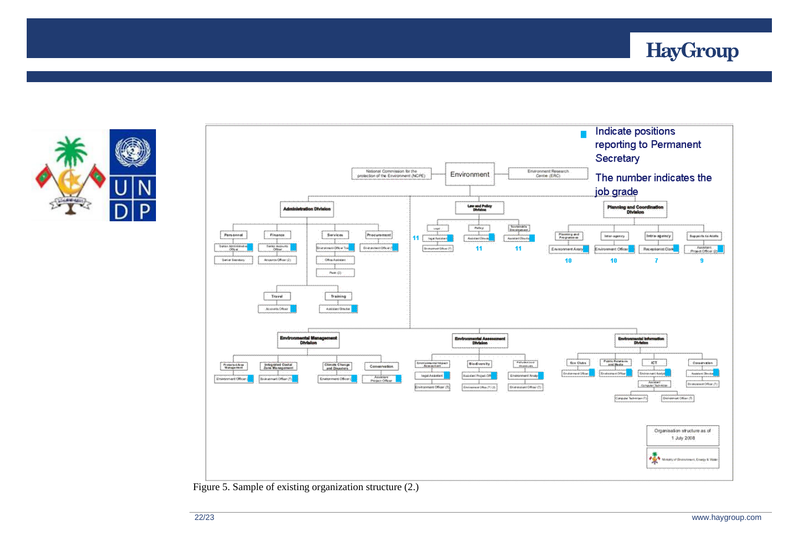![](_page_21_Picture_0.jpeg)

![](_page_21_Picture_1.jpeg)

![](_page_21_Figure_2.jpeg)

Figure 5. Sample of existing organization structure (2.)